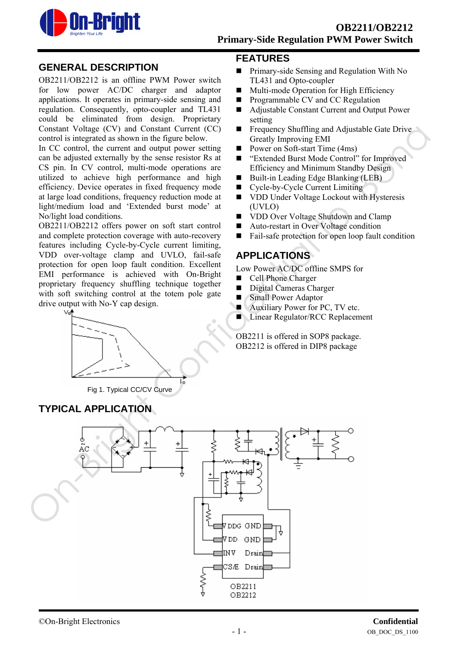

## **GENERAL DESCRIPTION**

OB2211/OB2212 is an offline PWM Power switch for low power AC/DC charger and adaptor applications. It operates in primary-side sensing and regulation. Consequently, opto-coupler and TL431 could be eliminated from design. Proprietary Constant Voltage (CV) and Constant Current (CC) control is integrated as shown in the figure below.

In CC control, the current and output power setting can be adjusted externally by the sense resistor Rs at CS pin. In CV control, multi-mode operations are utilized to achieve high performance and high efficiency. Device operates in fixed frequency mode at large load conditions, frequency reduction mode at light/medium load and 'Extended burst mode' at No/light load conditions.

OB2211/OB2212 offers power on soft start control and complete protection coverage with auto-recovery features including Cycle-by-Cycle current limiting, VDD over-voltage clamp and UVLO, fail-safe protection for open loop fault condition. Excellent EMI performance is achieved with On-Bright proprietary frequency shuffling technique together with soft switching control at the totem pole gate drive output with No-Y cap design.



Fig 1. Typical CC/CV Curve

**TYPICAL APPLICATION** 

## **FEATURES**

- **Primary-side Sensing and Regulation With No** TL431 and Opto-coupler
- Multi-mode Operation for High Efficiency
- **Programmable CV and CC Regulation**
- Adjustable Constant Current and Output Power setting
- **Figure 1.5 Frequency Shuffling and Adjustable Gate Drive** Greatly Improving EMI
- Power on Soft-start Time (4ms)
- "Extended Burst Mode Control" for Improved Efficiency and Minimum Standby Design
- Built-in Leading Edge Blanking (LEB)
- Cycle-by-Cycle Current Limiting
- **NOD Under Voltage Lockout with Hysteresis** (UVLO)
- VDD Over Voltage Shutdown and Clamp
- Auto-restart in Over Voltage condition
- Fail-safe protection for open loop fault condition

# **APPLICATIONS**

Low Power AC/DC offline SMPS for

- Cell Phone Charger
- Digital Cameras Charger
- **Small Power Adaptor**
- **Auxiliary Power for PC, TV etc.**
- Linear Regulator/RCC Replacement

OB2211 is offered in SOP8 package. OB2212 is offered in DIP8 package

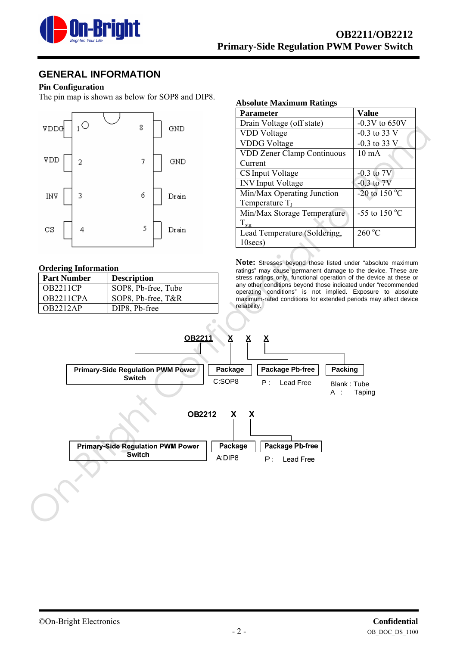

## **GENERAL INFORMATION**

#### **Pin Configuration**

The pin map is shown as below for SOP8 and DIP8.



#### **Ordering Information**

| <b>Part Number</b> | <b>Description</b>  |
|--------------------|---------------------|
| <b>OB2211CP</b>    | SOP8, Pb-free, Tube |
| OB2211CPA          | SOP8, Pb-free, T&R  |
| <b>OB2212AP</b>    | DIP8, Pb-free       |

#### **Absolute Maximum Ratings**

| <b>Parameter</b>                  | <b>Value</b>                    |
|-----------------------------------|---------------------------------|
| Drain Voltage (off state)         | $-0.3V$ to 650V                 |
| <b>VDD</b> Voltage                | $-0.3$ to 33 V                  |
| <b>VDDG</b> Voltage               | $-0.3$ to 33 V                  |
| <b>VDD Zener Clamp Continuous</b> | $10 \text{ mA}$                 |
| Current                           |                                 |
| CS Input Voltage                  | $-0.3$ to $7V$                  |
| <b>INV</b> Input Voltage          | $-0.3$ to $7V$                  |
| Min/Max Operating Junction        | -20 to 150 $\mathrm{^{\circ}C}$ |
| Temperature $T_I$                 |                                 |
| Min/Max Storage Temperature       | $-55$ to 150 °C                 |
| $T_{\text{stg}}$                  |                                 |
| Lead Temperature (Soldering,      | $260\text{ °C}$                 |
| $10$ secs)                        |                                 |

**Note:** Stresses beyond those listed under "absolute maximum ratings" may cause permanent damage to the device. These are stress ratings only, functional operation of the device at these or any other conditions beyond those indicated under "recommended operating conditions" is not implied. Exposure to absolute maximum-rated conditions for extended periods may affect device reliability.

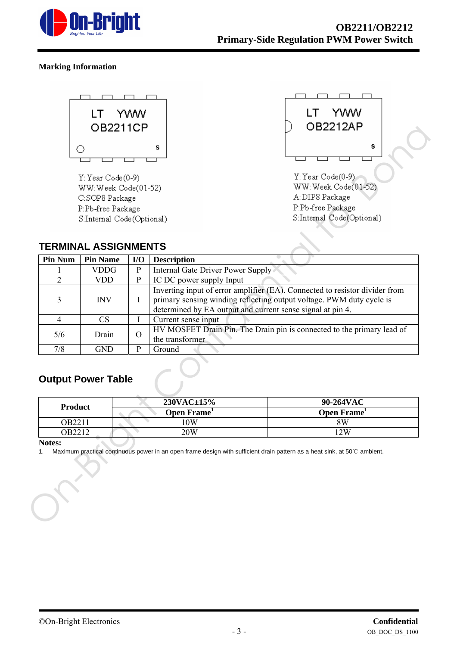

### **Marking Information**





# **TERMINAL ASSIGNMENTS**

|                | OB2211CP                                                                                                                                       |                                                                                                             |                                                                                                                                                     | UBZZIZAP                                                                                                       |  |  |
|----------------|------------------------------------------------------------------------------------------------------------------------------------------------|-------------------------------------------------------------------------------------------------------------|-----------------------------------------------------------------------------------------------------------------------------------------------------|----------------------------------------------------------------------------------------------------------------|--|--|
|                | O                                                                                                                                              |                                                                                                             | s                                                                                                                                                   | S                                                                                                              |  |  |
|                | $Y: Year Code (0-9)$<br>WW:Week Code(01-52)<br>C:SOP8 Package<br>P:Pb-free Package<br>S:Internal Code(Optional)<br><b>TERMINAL ASSIGNMENTS</b> |                                                                                                             |                                                                                                                                                     | Y: Year Code(0-9)<br>WW: Week Code(01-52)<br>A: DIP8 Package<br>P:Pb-free Package<br>S:Internal Code(Optional) |  |  |
| <b>Pin Num</b> | <b>Pin Name</b>                                                                                                                                | $\mathbf{I}/\mathbf{O}$                                                                                     | <b>Description</b>                                                                                                                                  |                                                                                                                |  |  |
|                | <b>VDDG</b>                                                                                                                                    | ${\bf P}$                                                                                                   | <b>Internal Gate Driver Power Supply</b>                                                                                                            |                                                                                                                |  |  |
| $\overline{2}$ | <b>VDD</b>                                                                                                                                     | $\mathbf{P}$                                                                                                | IC DC power supply Input                                                                                                                            |                                                                                                                |  |  |
| 3              | <b>INV</b>                                                                                                                                     | I                                                                                                           | Inverting input of error amplifier (EA). Connected to resistor divider from<br>primary sensing winding reflecting output voltage. PWM duty cycle is |                                                                                                                |  |  |
| $\overline{4}$ | <b>CS</b>                                                                                                                                      | $\bf{I}$                                                                                                    | Current sense input                                                                                                                                 | determined by EA output and current sense signal at pin 4.                                                     |  |  |
| 5/6            | Drain                                                                                                                                          | HV MOSFET Drain Pin. The Drain pin is connected to the primary lead of<br>$\overline{O}$<br>the transformer |                                                                                                                                                     |                                                                                                                |  |  |
|                |                                                                                                                                                |                                                                                                             | Ground                                                                                                                                              |                                                                                                                |  |  |
| 7/8            | <b>GND</b>                                                                                                                                     | $\overline{P}$                                                                                              |                                                                                                                                                     |                                                                                                                |  |  |
|                | <b>Output Power Table</b>                                                                                                                      |                                                                                                             | 230VAC±15%                                                                                                                                          | 90-264VAC                                                                                                      |  |  |
| <b>Product</b> |                                                                                                                                                |                                                                                                             | Open Frame <sup>1</sup>                                                                                                                             | Open Frame <sup>1</sup>                                                                                        |  |  |
| OB2211         |                                                                                                                                                |                                                                                                             | 10W                                                                                                                                                 | <b>8W</b>                                                                                                      |  |  |
| OB2212         |                                                                                                                                                |                                                                                                             | <b>20W</b>                                                                                                                                          | 12W                                                                                                            |  |  |

# **Output Power Table**

| <b>Product</b> | $230\text{VAC} \pm 15\%$ | 90-264VAC  |  |
|----------------|--------------------------|------------|--|
|                | Open Frame <sup>1</sup>  | Open Frame |  |
| OB2211         | 10W                      | 8W         |  |
| .)B2212        | $20\rm{W}$               | 2W         |  |

#### **Notes:**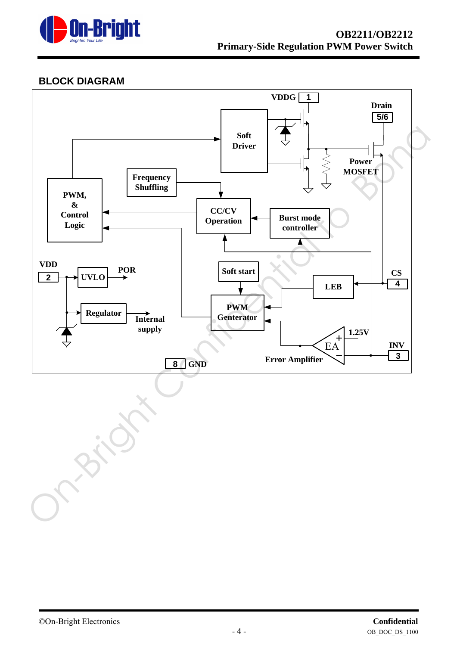

# **BLOCK DIAGRAM**

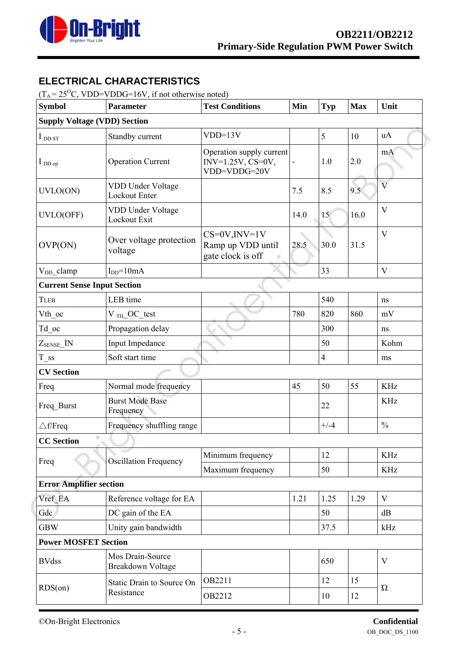

# **ELECTRICAL CHARACTERISTICS**

 $(T_A = 25^{\circ}C, VDD=VDDG=16V, if not otherwise noted)$ 

| <b>Symbol</b>                       | <b>Parameter</b>                             | <b>Test Conditions</b>                                          | Min  | <b>Typ</b> | <b>Max</b> | Unit                    |  |
|-------------------------------------|----------------------------------------------|-----------------------------------------------------------------|------|------------|------------|-------------------------|--|
| <b>Supply Voltage (VDD) Section</b> |                                              |                                                                 |      |            |            |                         |  |
| $I_{\text{DD ST}}$                  | Standby current                              | $VDD=13V$                                                       |      | 5          | 10         | uA                      |  |
| $I_{DDop}$                          | <b>Operation Current</b>                     | Operation supply current<br>$INV=1.25V, CS=0V,$<br>VDD=VDDG=20V |      | 1.0        | 2.0        | mA                      |  |
| UVLO(ON)                            | VDD Under Voltage<br>Lockout Enter           |                                                                 | 7.5  | 8.5        | 9.5        | $\overline{\mathbf{V}}$ |  |
| UVLO(OFF)                           | VDD Under Voltage<br>Lockout Exit            |                                                                 | 14.0 | 15         | 16.0       | V                       |  |
| OVP(ON)                             | Over voltage protection<br>voltage           | $CS=0V,INV=1V$<br>Ramp up VDD until<br>gate clock is off        | 28.5 | 30.0       | 31.5       | V                       |  |
| $V_{DD}$ _clamp                     | $IDD=10mA$                                   |                                                                 |      | 33         |            | V                       |  |
| <b>Current Sense Input Section</b>  |                                              |                                                                 |      |            |            |                         |  |
| <b>TLEB</b>                         | LEB time                                     |                                                                 |      | 540        |            | ns                      |  |
| Vth oc                              | $V$ <sub>TH</sub> OC test                    |                                                                 | 780  | 820        | 860        | $\rm mV$                |  |
| $Td\_{oc}$                          | Propagation delay                            |                                                                 |      | 300        |            | ns                      |  |
| $Z_{\text{SENSE}}$ <sup>IN</sup>    | Input Impedance                              |                                                                 |      | 50         |            | Kohm                    |  |
| $T$ <sub>ss</sub>                   | Soft start time                              |                                                                 |      | 4          |            | ms                      |  |
| <b>CV</b> Section                   |                                              |                                                                 |      |            |            |                         |  |
| Freq                                | Normal mode frequency                        |                                                                 | 45   | 50         | 55         | <b>KHz</b>              |  |
| Freq Burst                          | <b>Burst Mode Base</b><br>Frequency          |                                                                 |      | 22         |            | <b>KHz</b>              |  |
| $\triangle$ f/Freq                  | Frequency shuffling range                    |                                                                 |      | $+/-4$     |            | $\frac{0}{0}$           |  |
| $\bigcirc$<br><b>CC</b> Section     |                                              |                                                                 |      |            |            |                         |  |
|                                     | Oscillation Frequency                        | Minimum frequency                                               |      | 12         |            | KHz                     |  |
| Freq                                |                                              | Maximum frequency                                               |      | 50         |            | <b>KHz</b>              |  |
| <b>Error Amplifier section</b>      |                                              |                                                                 |      |            |            |                         |  |
| Vref EA                             | Reference voltage for EA                     |                                                                 | 1.21 | 1.25       | 1.29       | V                       |  |
| Gdc                                 | DC gain of the EA                            |                                                                 |      | 50         |            | dB                      |  |
| <b>GBW</b>                          | Unity gain bandwidth                         |                                                                 |      | 37.5       |            | kHz                     |  |
| <b>Power MOSFET Section</b>         |                                              |                                                                 |      |            |            |                         |  |
| <b>BVdss</b>                        | Mos Drain-Source<br><b>Breakdown Voltage</b> |                                                                 |      | 650        |            | V                       |  |
|                                     | Static Drain to Source On                    | OB2211                                                          |      | 12         | 15         | $\Omega$                |  |
| RDS(0n)                             | Resistance                                   | OB2212                                                          |      | 10         | 12         |                         |  |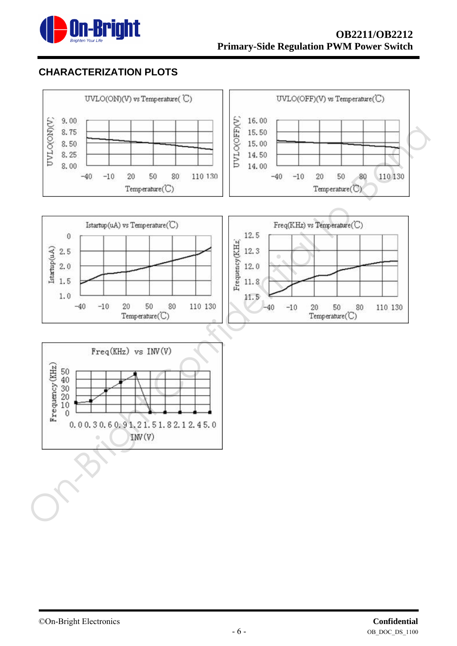

# **CHARACTERIZATION PLOTS**

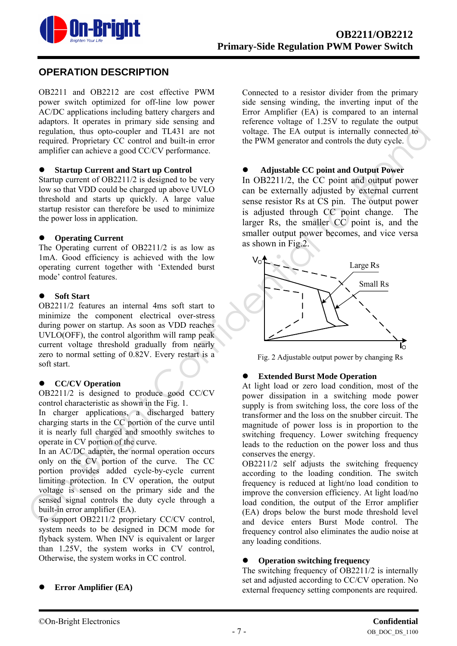

# **OPERATION DESCRIPTION**

OB2211 and OB2212 are cost effective PWM power switch optimized for off-line low power AC/DC applications including battery chargers and adaptors. It operates in primary side sensing and regulation, thus opto-coupler and TL431 are not required. Proprietary CC control and built-in error amplifier can achieve a good CC/CV performance.

#### **Startup Current and Start up Control**

Startup current of OB2211/2 is designed to be very low so that VDD could be charged up above UVLO threshold and starts up quickly. A large value startup resistor can therefore be used to minimize the power loss in application.

#### **Operating Current**

The Operating current of OB2211/2 is as low as 1mA. Good efficiency is achieved with the low operating current together with 'Extended burst mode' control features.

#### **Soft Start**

OB2211/2 features an internal 4ms soft start to minimize the component electrical over-stress during power on startup. As soon as VDD reaches UVLO(OFF), the control algorithm will ramp peak current voltage threshold gradually from nearly zero to normal setting of 0.82V. Every restart is a soft start.

#### $\bullet$  CC/CV Operation

OB2211/2 is designed to produce good CC/CV control characteristic as shown in the Fig. 1.

In charger applications, a discharged battery charging starts in the CC portion of the curve until it is nearly full charged and smoothly switches to operate in CV portion of the curve.

In an AC/DC adapter, the normal operation occurs only on the CV portion of the curve. The CC portion provides added cycle-by-cycle current limiting protection. In CV operation, the output voltage is sensed on the primary side and the sensed signal controls the duty cycle through a built-in error amplifier (EA).

To support OB2211/2 proprietary CC/CV control, system needs to be designed in DCM mode for flyback system. When INV is equivalent or larger than 1.25V, the system works in CV control, Otherwise, the system works in CC control.

Connected to a resistor divider from the primary side sensing winding, the inverting input of the Error Amplifier (EA) is compared to an internal reference voltage of 1.25V to regulate the output voltage. The EA output is internally connected to the PWM generator and controls the duty cycle.

#### z **Adjustable CC point and Output Power**

In OB2211/2, the CC point and output power can be externally adjusted by external current sense resistor Rs at CS pin. The output power is adjusted through CC point change. The larger Rs, the smaller CC point is, and the smaller output power becomes, and vice versa as shown in Fig.2.



Fig. 2 Adjustable output power by changing Rs

#### **Extended Burst Mode Operation**

At light load or zero load condition, most of the power dissipation in a switching mode power supply is from switching loss, the core loss of the transformer and the loss on the snubber circuit. The magnitude of power loss is in proportion to the switching frequency. Lower switching frequency leads to the reduction on the power loss and thus conserves the energy.

OB2211/2 self adjusts the switching frequency according to the loading condition. The switch frequency is reduced at light/no load condition to improve the conversion efficiency. At light load/no load condition, the output of the Error amplifier (EA) drops below the burst mode threshold level and device enters Burst Mode control. The frequency control also eliminates the audio noise at any loading conditions.

#### **Operation switching frequency**

The switching frequency of OB2211/2 is internally set and adjusted according to CC/CV operation. No external frequency setting components are required.

#### z **Error Amplifier (EA)**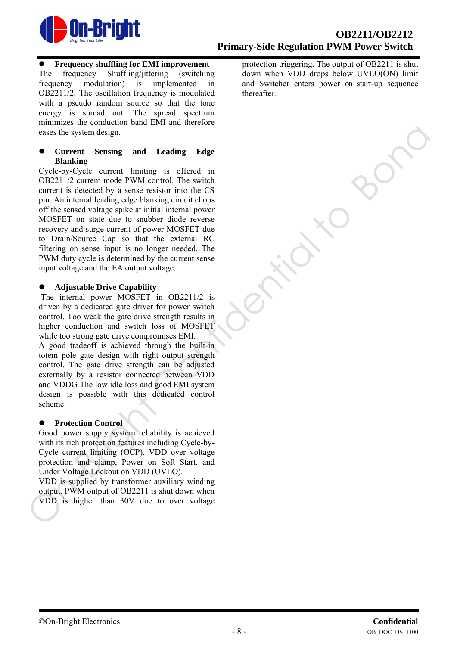

#### z **Frequency shuffling for EMI improvement**

The frequency Shuffling/jittering (switching frequency modulation) is implemented in OB2211/2. The oscillation frequency is modulated with a pseudo random source so that the tone energy is spread out. The spread spectrum minimizes the conduction band EMI and therefore eases the system design.

z **Current Sensing and Leading Edge Blanking** 

Cycle-by-Cycle current limiting is offered in OB2211/2 current mode PWM control. The switch current is detected by a sense resistor into the CS pin. An internal leading edge blanking circuit chops off the sensed voltage spike at initial internal power MOSFET on state due to snubber diode reverse recovery and surge current of power MOSFET due to Drain/Source Cap so that the external RC filtering on sense input is no longer needed. The PWM duty cycle is determined by the current sense input voltage and the EA output voltage. cases the system design.<br>
Correct Sonsing and Leading Edge<br>
Correct Sonsing and Leading Edge<br>
Unlaining<br>
Correct Sonstant in the WM control The switch<br>
contract in the Cost Confident interact in the CS<br>
pum. An interact r

#### z **Adjustable Drive Capability**

The internal power MOSFET in OB2211/2 is driven by a dedicated gate driver for power switch control. Too weak the gate drive strength results in higher conduction and switch loss of MOSFET while too strong gate drive compromises EMI.

A good tradeoff is achieved through the built-in totem pole gate design with right output strength control. The gate drive strength can be adjusted externally by a resistor connected between VDD and VDDG The low idle loss and good EMI system design is possible with this dedicated control scheme.

#### **•** Protection Control

Good power supply system reliability is achieved with its rich protection features including Cycle-by-Cycle current limiting (OCP), VDD over voltage protection and clamp, Power on Soft Start, and Under Voltage Lockout on VDD (UVLO).

VDD is supplied by transformer auxiliary winding output. PWM output of OB2211 is shut down when VDD is higher than 30V due to over voltage

protection triggering. The output of OB2211 is shut down when VDD drops below UVLO(ON) limit and Switcher enters power on start-up sequence thereafter.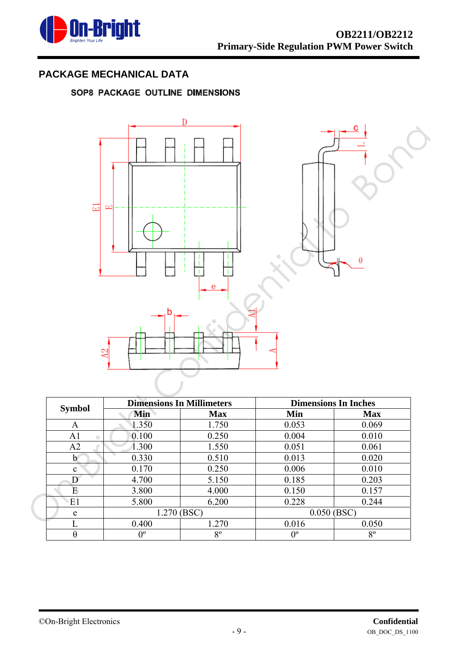

# **PACKAGE MECHANICAL DATA**

# SOP8 PACKAGE OUTLINE DIMENSIONS



|               | <b>Dimensions In Millimeters</b> |             | <b>Dimensions In Inches</b> |             |  |
|---------------|----------------------------------|-------------|-----------------------------|-------------|--|
| <b>Symbol</b> | Min                              | <b>Max</b>  | Min                         | <b>Max</b>  |  |
| A             | 1.350                            | 1.750       | 0.053                       | 0.069       |  |
| A1            | 0.100                            | 0.250       | 0.004                       | 0.010       |  |
| A2            | 1.300                            | 1.550       | 0.051                       | 0.061       |  |
| $\mathbf b$   | 0.330                            | 0.510       | 0.013                       | 0.020       |  |
| $\mathbf{c}$  | 0.170                            | 0.250       | 0.006                       | 0.010       |  |
| D             | 4.700                            | 5.150       | 0.185                       | 0.203       |  |
| Ε             | 3.800                            | 4.000       | 0.150                       | 0.157       |  |
| E1            | 5.800                            | 6.200       | 0.228                       | 0.244       |  |
| e             | 1.270 (BSC)                      |             | $0.050$ (BSC)               |             |  |
| L             | 0.400                            | 1.270       | 0.016                       | 0.050       |  |
| $\theta$      | $0^{\circ}$                      | $8^{\circ}$ | $0^{\circ}$                 | $8^{\circ}$ |  |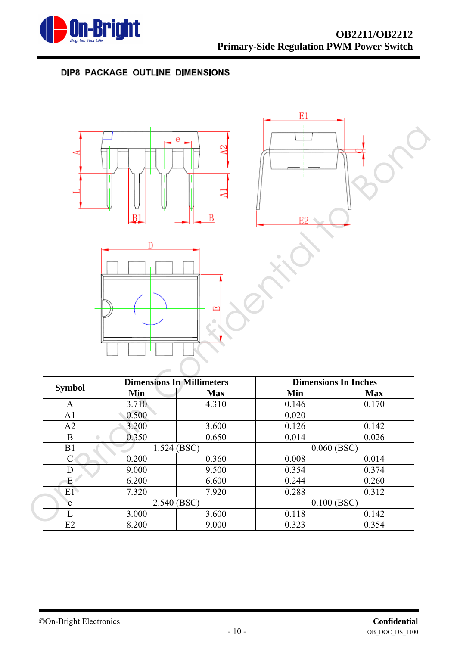

# DIP8 PACKAGE OUTLINE DIMENSIONS



|               | <b>Dimensions In Millimeters</b> |            | <b>Dimensions In Inches</b> |            |  |
|---------------|----------------------------------|------------|-----------------------------|------------|--|
| <b>Symbol</b> | Min                              | <b>Max</b> | Min                         | <b>Max</b> |  |
| A             | 3.710                            | 4.310      | 0.146                       | 0.170      |  |
| A1            | 0.500                            |            | 0.020                       |            |  |
| A2            | 3.200                            | 3.600      | 0.126                       | 0.142      |  |
| B             | 0.350                            | 0.650      | 0.014                       | 0.026      |  |
| B1            | $1.524$ (BSC)                    |            | $0.060$ (BSC)               |            |  |
|               | 0.200                            | 0.360      | 0.008                       | 0.014      |  |
| D             | 9.000                            | 9.500      | 0.354                       | 0.374      |  |
| Е             | 6.200                            | 6.600      | 0.244                       | 0.260      |  |
| E1            | 7.320                            | 7.920      | 0.288                       | 0.312      |  |
| e             | 2.540 (BSC)                      |            | $0.100$ (BSC)               |            |  |
|               | 3.000                            | 3.600      | 0.118                       | 0.142      |  |
| E2            | 8.200                            | 9.000      | 0.323                       | 0.354      |  |